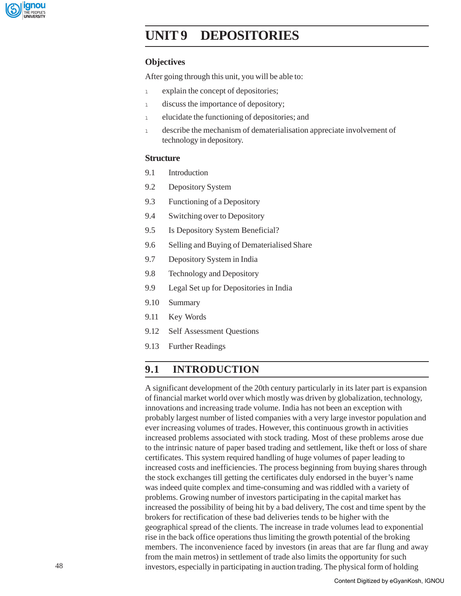

# **Operations and Services UNIT 9 DEPOSITORIES**

#### **Objectives**

After going through this unit, you will be able to:

- 1 explain the concept of depositories;
- <sup>l</sup> discuss the importance of depository;
- <sup>l</sup> elucidate the functioning of depositories; and
- <sup>l</sup> describe the mechanism of dematerialisation appreciate involvement of technology in depository.

#### **Structure**

- 9.1 Introduction
- 9.2 Depository System
- 9.3 Functioning of a Depository
- 9.4 Switching over to Depository
- 9.5 Is Depository System Beneficial?
- 9.6 Selling and Buying of Dematerialised Share
- 9.7 Depository System in India
- 9.8 Technology and Depository
- 9.9 Legal Set up for Depositories in India
- 9.10 Summary
- 9.11 Key Words
- 9.12 Self Assessment Questions
- 9.13 Further Readings

### **9.1 INTRODUCTION**

A significant development of the 20th century particularly in its later part is expansion of financial market world over which mostly was driven by globalization, technology, innovations and increasing trade volume. India has not been an exception with probably largest number of listed companies with a very large investor population and ever increasing volumes of trades. However, this continuous growth in activities increased problems associated with stock trading. Most of these problems arose due to the intrinsic nature of paper based trading and settlement, like theft or loss of share certificates. This system required handling of huge volumes of paper leading to increased costs and inefficiencies. The process beginning from buying shares through the stock exchanges till getting the certificates duly endorsed in the buyer's name was indeed quite complex and time-consuming and was riddled with a variety of problems. Growing number of investors participating in the capital market has increased the possibility of being hit by a bad delivery, The cost and time spent by the brokers for rectification of these bad deliveries tends to be higher with the geographical spread of the clients. The increase in trade volumes lead to exponential rise in the back office operations thus limiting the growth potential of the broking members. The inconvenience faced by investors (in areas that are far flung and away from the main metros) in settlement of trade also limits the opportunity for such investors, especially in participating in auction trading. The physical form of holding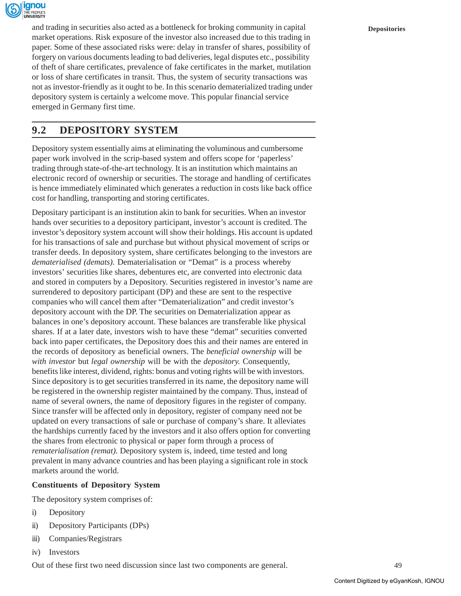

and trading in securities also acted as a bottleneck for broking community in capital **Depositories** market operations. Risk exposure of the investor also increased due to this trading in paper. Some of these associated risks were: delay in transfer of shares, possibility of forgery on various documents leading to bad deliveries, legal disputes etc., possibility of theft of share certificates, prevalence of fake certificates in the market, mutilation or loss of share certificates in transit. Thus, the system of security transactions was not as investor-friendly as it ought to be. In this scenario dematerialized trading under depository system is certainly a welcome move. This popular financial service emerged in Germany first time.

# **9.2 DEPOSITORY SYSTEM**

Depository system essentially aims at eliminating the voluminous and cumbersome paper work involved in the scrip-based system and offers scope for 'paperless' trading through state-of-the-art technology. It is an institution which maintains an electronic record of ownership or securities. The storage and handling of certificates is hence immediately eliminated which generates a reduction in costs like back office cost for handling, transporting and storing certificates.

Depositary participant is an institution akin to bank for securities. When an investor hands over securities to a depository participant, investor's account is credited. The investor's depository system account will show their holdings. His account is updated for his transactions of sale and purchase but without physical movement of scrips or transfer deeds. In depository system, share certificates belonging to the investors are *dematerialised (demats).* Dematerialisation or "Demat" is a process whereby investors' securities like shares, debentures etc, are converted into electronic data and stored in computers by a Depository. Securities registered in investor's name are surrendered to depository participant (DP) and these are sent to the respective companies who will cancel them after "Dematerialization" and credit investor's depository account with the DP. The securities on Dematerialization appear as balances in one's depository account. These balances are transferable like physical shares. If at a later date, investors wish to have these "demat" securities converted back into paper certificates, the Depository does this and their names are entered in the records of depository as beneficial owners. The *beneficial ownership* will be *with investor* but *legal ownership* will be with the *depository.* Consequently, benefits like interest, dividend, rights: bonus and voting rights will be with investors. Since depository is to get securities transferred in its name, the depository name will be registered in the ownership register maintained by the company. Thus, instead of name of several owners, the name of depository figures in the register of company. Since transfer will be affected only in depository, register of company need not be updated on every transactions of sale or purchase of company's share. It alleviates the hardships currently faced by the investors and it also offers option for converting the shares from electronic to physical or paper form through a process of *rematerialisation (remat).* Depository system is, indeed, time tested and long prevalent in many advance countries and has been playing a significant role in stock markets around the world.

#### **Constituents of Depository System**

The depository system comprises of:

- i) Depository
- ii) Depository Participants (DPs)
- iii) Companies/Registrars
- iv) Investors

Out of these first two need discussion since last two components are general.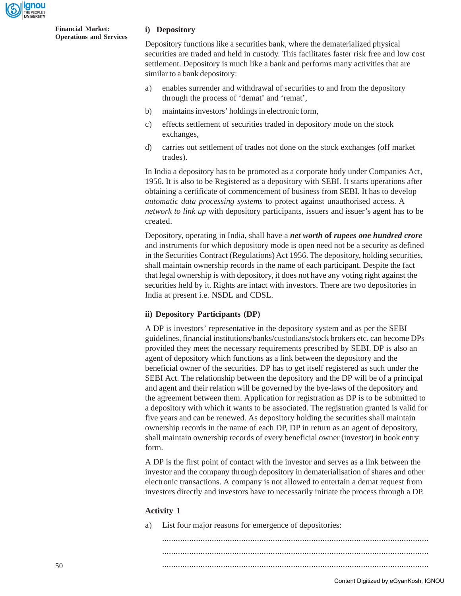

**Financial Market: Operations and Services**

#### **i) Depository**

Depository functions like a securities bank, where the dematerialized physical securities are traded and held in custody. This facilitates faster risk free and low cost settlement. Depository is much like a bank and performs many activities that are similar to a bank depository:

- a) enables surrender and withdrawal of securities to and from the depository through the process of 'demat' and 'remat',
- b) maintains investors' holdings in electronic form,
- c) effects settlement of securities traded in depository mode on the stock exchanges,
- d) carries out settlement of trades not done on the stock exchanges (off market trades).

In India a depository has to be promoted as a corporate body under Companies Act, 1956. It is also to be Registered as a depository with SEBI. It starts operations after obtaining a certificate of commencement of business from SEBI. It has to develop *automatic data processing systems* to protect against unauthorised access. A *network to link up* with depository participants, issuers and issuer's agent has to be created.

Depository, operating in India, shall have a *net worth* **of** *rupees one hundred crore* and instruments for which depository mode is open need not be a security as defined in the Securities Contract (Regulations) Act 1956. The depository, holding securities, shall maintain ownership records in the name of each participant. Despite the fact that legal ownership is with depository, it does not have any voting right against the securities held by it. Rights are intact with investors. There are two depositories in India at present i.e. NSDL and CDSL.

#### **ii) Depository Participants (DP)**

A DP is investors' representative in the depository system and as per the SEBI guidelines, financial institutions/banks/custodians/stock brokers etc. can become DPs provided they meet the necessary requirements prescribed by SEBI. DP is also an agent of depository which functions as a link between the depository and the beneficial owner of the securities. DP has to get itself registered as such under the SEBI Act. The relationship between the depository and the DP will be of a principal and agent and their relation will be governed by the bye-laws of the depository and the agreement between them. Application for registration as DP is to be submitted to a depository with which it wants to be associated. The registration granted is valid for five years and can be renewed. As depository holding the securities shall maintain ownership records in the name of each DP, DP in return as an agent of depository, shall maintain ownership records of every beneficial owner (investor) in book entry form.

A DP is the first point of contact with the investor and serves as a link between the investor and the company through depository in dematerialisation of shares and other electronic transactions. A company is not allowed to entertain a demat request from investors directly and investors have to necessarily initiate the process through a DP.

#### **Activity 1**

a) List four major reasons for emergence of depositories:

...................................................................................................................... ...................................................................................................................... ......................................................................................................................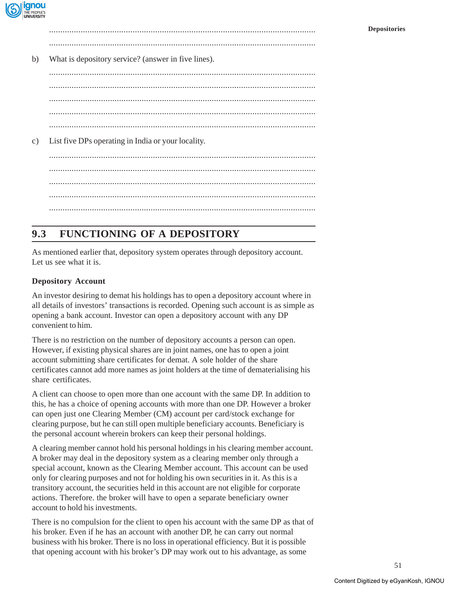

| b)<br>What is depository service? (answer in five lines). |                                                    |  |  |
|-----------------------------------------------------------|----------------------------------------------------|--|--|
|                                                           |                                                    |  |  |
|                                                           |                                                    |  |  |
|                                                           |                                                    |  |  |
|                                                           |                                                    |  |  |
|                                                           |                                                    |  |  |
| c)                                                        | List five DPs operating in India or your locality. |  |  |
|                                                           |                                                    |  |  |
|                                                           |                                                    |  |  |
|                                                           |                                                    |  |  |
|                                                           |                                                    |  |  |
|                                                           |                                                    |  |  |

# **9.3 FUNCTIONING OF A DEPOSITORY**

As mentioned earlier that, depository system operates through depository account. Let us see what it is.

#### **Depository Account**

An investor desiring to demat his holdings has to open a depository account where in all details of investors' transactions is recorded. Opening such account is as simple as opening a bank account. Investor can open a depository account with any DP convenient to him.

There is no restriction on the number of depository accounts a person can open. However, if existing physical shares are in joint names, one has to open a joint account submitting share certificates for demat. A sole holder of the share certificates cannot add more names as joint holders at the time of dematerialising his share certificates.

A client can choose to open more than one account with the same DP. In addition to this, he has a choice of opening accounts with more than one DP. However a broker can open just one Clearing Member (CM) account per card/stock exchange for clearing purpose, but he can still open multiple beneficiary accounts. Beneficiary is the personal account wherein brokers can keep their personal holdings.

A clearing member cannot hold his personal holdings in his clearing member account. A broker may deal in the depository system as a clearing member only through a special account, known as the Clearing Member account. This account can be used only for clearing purposes and not for holding his own securities in it. As this is a transitory account, the securities held in this account are not eligible for corporate actions. Therefore. the broker will have to open a separate beneficiary owner account to hold his investments.

There is no compulsion for the client to open his account with the same DP as that of his broker. Even if he has an account with another DP, he can carry out normal business with his broker. There is no loss in operational efficiency. But it is possible that opening account with his broker's DP may work out to his advantage, as some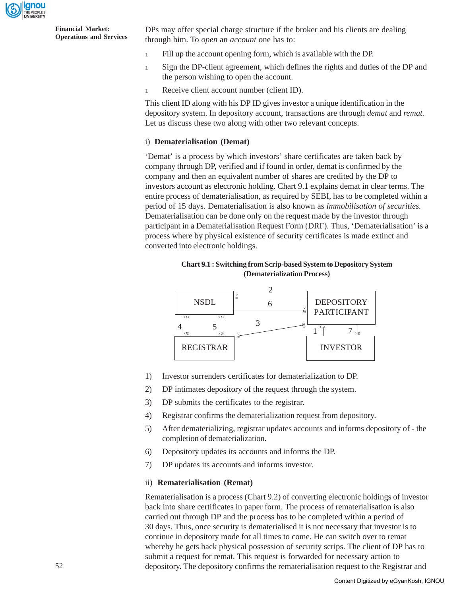

**Financial Market: Operations and Services** DPs may offer special charge structure if the broker and his clients are dealing through him. To *open* an *account* one has to:

- <sup>l</sup> Fill up the account opening form, which is available with the DP.
- <sup>l</sup> Sign the DP-client agreement, which defines the rights and duties of the DP and the person wishing to open the account.
- 1 Receive client account number (client ID).

This client ID along with his DP ID gives investor a unique identification in the depository system. In depository account, transactions are through *demat* and *remat.* Let us discuss these two along with other two relevant concepts.

#### i) **Dematerialisation (Demat)**

'Demat' is a process by which investors' share certificates are taken back by company through DP, verified and if found in order, demat is confirmed by the company and then an equivalent number of shares are credited by the DP to investors account as electronic holding. Chart 9.1 explains demat in clear terms. The entire process of dematerialisation, as required by SEBI, has to be completed within a period of 15 days. Dematerialisation is also known as *immobilisation of securities.* Dematerialisation can be done only on the request made by the investor through participant in a Dematerialisation Request Form (DRF). Thus, 'Dematerialisation' is a process where by physical existence of security certificates is made extinct and converted into electronic holdings.

#### **Chart 9.1 : Switching from Scrip-based System to Depository System (Dematerialization Process)**



- 1) Investor surrenders certificates for dematerialization to DP.
- 2) DP intimates depository of the request through the system.
- 3) DP submits the certificates to the registrar.
- 4) Registrar confirms the dematerialization request from depository.
- 5) After dematerializing, registrar updates accounts and informs depository of the completion of dematerialization.
- 6) Depository updates its accounts and informs the DP.
- 7) DP updates its accounts and informs investor.

#### ii) **Rematerialisation (Remat)**

Rematerialisation is a process (Chart 9.2) of converting electronic holdings of investor back into share certificates in paper form. The process of rematerialisation is also carried out through DP and the process has to be completed within a period of 30 days. Thus, once security is dematerialised it is not necessary that investor is to continue in depository mode for all times to come. He can switch over to remat whereby he gets back physical possession of security scrips. The client of DP has to submit a request for remat. This request is forwarded for necessary action to **EXECUTE ANTIFY AND THE CONFIRM THE CONFIRM THE CONFIRM THE CONFIRM THE REGISTRAR**<br> **EXECUTE ARTIC TEXT AND THE REGISTRAR**<br>
1) Investor surrenders certificates for dematerialization to DP.<br>
2) DP intimates depository of t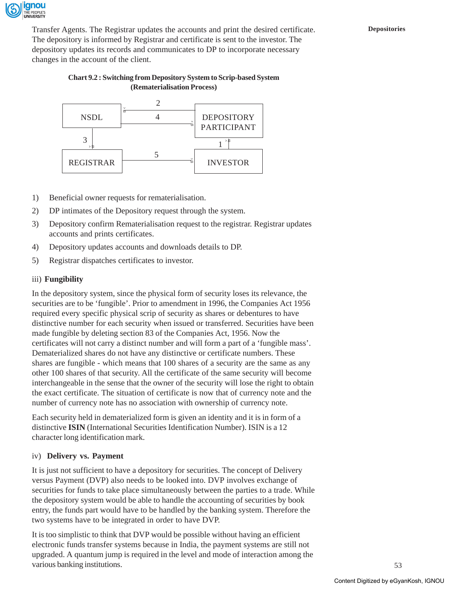

#### **Chart 9.2 : Switching from Depository System to Scrip-based System (Rematerialisation Process)**



- 1) Beneficial owner requests for rematerialisation.
- 2) DP intimates of the Depository request through the system.
- 3) Depository confirm Rematerialisation request to the registrar. Registrar updates accounts and prints certificates.
- 4) Depository updates accounts and downloads details to DP.
- 5) Registrar dispatches certificates to investor.

#### iii) **Fungibility**

In the depository system, since the physical form of security loses its relevance, the securities are to be 'fungible'. Prior to amendment in 1996, the Companies Act 1956 required every specific physical scrip of security as shares or debentures to have distinctive number for each security when issued or transferred. Securities have been made fungible by deleting section 83 of the Companies Act, 1956. Now the certificates will not carry a distinct number and will form a part of a 'fungible mass'. Dematerialized shares do not have any distinctive or certificate numbers. These shares are fungible - which means that 100 shares of a security are the same as any other 100 shares of that security. All the certificate of the same security will become interchangeable in the sense that the owner of the security will lose the right to obtain the exact certificate. The situation of certificate is now that of currency note and the number of currency note has no association with ownership of currency note.

Each security held in dematerialized form is given an identity and it is in form of a distinctive **ISIN** (International Securities Identification Number). ISIN is a 12 character long identification mark.

#### iv) **Delivery vs. Payment**

It is just not sufficient to have a depository for securities. The concept of Delivery versus Payment (DVP) also needs to be looked into. DVP involves exchange of securities for funds to take place simultaneously between the parties to a trade. While the depository system would be able to handle the accounting of securities by book entry, the funds part would have to be handled by the banking system. Therefore the two systems have to be integrated in order to have DVP.

It is too simplistic to think that DVP would be possible without having an efficient electronic funds transfer systems because in India, the payment systems are still not upgraded. A quantum jump is required in the level and mode of interaction among the various banking institutions.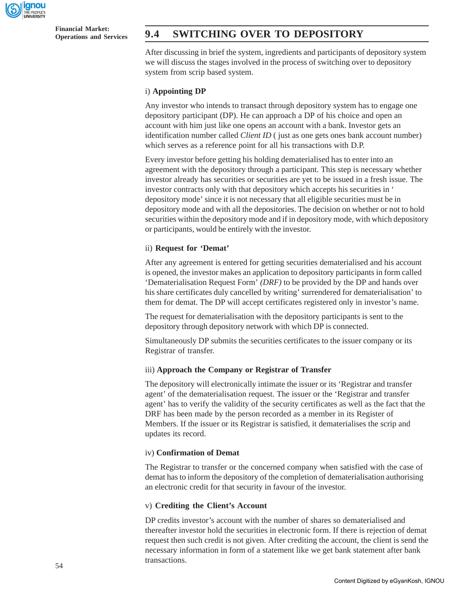

**Financial Market:**

## **Operations and Services 9.4 SWITCHING OVER TO DEPOSITORY**

After discussing in brief the system, ingredients and participants of depository system we will discuss the stages involved in the process of switching over to depository system from scrip based system.

#### i) **Appointing DP**

Any investor who intends to transact through depository system has to engage one depository participant (DP). He can approach a DP of his choice and open an account with him just like one opens an account with a bank. Investor gets an identification number called *Client ID* ( just as one gets ones bank account number) which serves as a reference point for all his transactions with D.P.

Every investor before getting his holding dematerialised has to enter into an agreement with the depository through a participant. This step is necessary whether investor already has securities or securities are yet to be issued in a fresh issue. The investor contracts only with that depository which accepts his securities in ' depository mode' since it is not necessary that all eligible securities must be in depository mode and with all the depositories. The decision on whether or not to hold securities within the depository mode and if in depository mode, with which depository or participants, would be entirely with the investor.

#### ii) **Request for 'Demat'**

After any agreement is entered for getting securities dematerialised and his account is opened, the investor makes an application to depository participants in form called 'Dematerialisation Request Form' *(DRF)* to be provided by the DP and hands over his share certificates duly cancelled by writing' surrendered for dematerialisation' to them for demat. The DP will accept certificates registered only in investor's name.

The request for dematerialisation with the depository participants is sent to the depository through depository network with which DP is connected.

Simultaneously DP submits the securities certificates to the issuer company or its Registrar of transfer.

#### iii) **Approach the Company or Registrar of Transfer**

The depository will electronically intimate the issuer or its 'Registrar and transfer agent' of the dematerialisation request. The issuer or the 'Registrar and transfer agent' has to verify the validity of the security certificates as well as the fact that the DRF has been made by the person recorded as a member in its Register of Members. If the issuer or its Registrar is satisfied, it dematerialises the scrip and updates its record.

#### iv) **Confirmation of Demat**

The Registrar to transfer or the concerned company when satisfied with the case of demat has to inform the depository of the completion of dematerialisation authorising an electronic credit for that security in favour of the investor.

#### v) **Crediting the Client's Account**

DP credits investor's account with the number of shares so dematerialised and thereafter investor hold the securities in electronic form. If there is rejection of demat request then such credit is not given. After crediting the account, the client is send the necessary information in form of a statement like we get bank statement after bank transactions.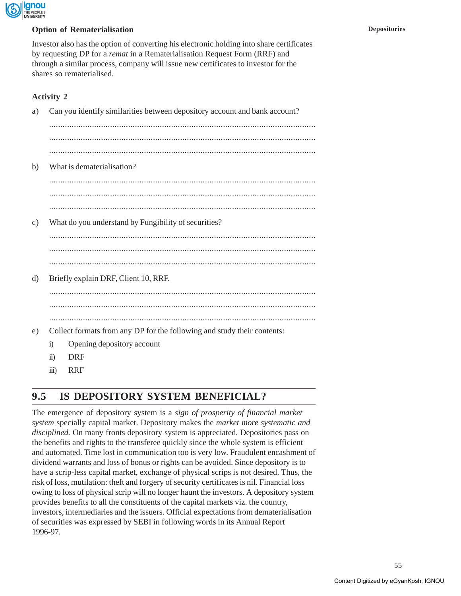

#### **Option of Rematerialisation Depositories Depositories**

Investor also has the option of converting his electronic holding into share certificates by requesting DP for a *remat* in a Rematerialisation Request Form (RRF) and through a similar process, company will issue new certificates to investor for the shares so rematerialised.

#### **Activity 2**

| Can you identify similarities between depository account and bank account?<br>a) |                                                                         |
|----------------------------------------------------------------------------------|-------------------------------------------------------------------------|
|                                                                                  |                                                                         |
|                                                                                  |                                                                         |
|                                                                                  |                                                                         |
| b)                                                                               | What is dematerialisation?                                              |
|                                                                                  |                                                                         |
|                                                                                  |                                                                         |
|                                                                                  |                                                                         |
| $\circ$ )                                                                        | What do you understand by Fungibility of securities?                    |
|                                                                                  |                                                                         |
|                                                                                  |                                                                         |
|                                                                                  |                                                                         |
| d)                                                                               | Briefly explain DRF, Client 10, RRF.                                    |
|                                                                                  |                                                                         |
|                                                                                  |                                                                         |
|                                                                                  |                                                                         |
| e)                                                                               | Collect formats from any DP for the following and study their contents: |
|                                                                                  | Opening depository account<br>$\ddot{1}$                                |
|                                                                                  | <b>DRF</b><br>$\ddot{u}$ )                                              |
|                                                                                  | <b>RRF</b><br>$\overline{iii}$ )                                        |

### **9.5 IS DEPOSITORY SYSTEM BENEFICIAL?**

The emergence of depository system is a *sign of prosperity of financial market system* specially capital market. Depository makes the *market more systematic and disciplined.* On many fronts depository system is appreciated. Depositories pass on the benefits and rights to the transferee quickly since the whole system is efficient and automated. Time lost in communication too is very low. Fraudulent encashment of dividend warrants and loss of bonus or rights can be avoided. Since depository is to have a scrip-less capital market, exchange of physical scrips is not desired. Thus, the risk of loss, mutilation: theft and forgery of security certificates is nil. Financial loss owing to loss of physical scrip will no longer haunt the investors. A depository system provides benefits to all the constituents of the capital markets viz. the country, investors, intermediaries and the issuers. Official expectations from dematerialisation of securities was expressed by SEBI in following words in its Annual Report 1996-97.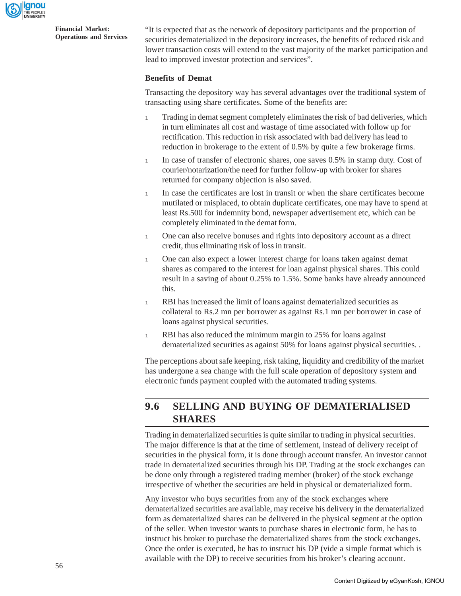

**Financial Market: Operations and Services** "It is expected that as the network of depository participants and the proportion of securities dematerialized in the depository increases, the benefits of reduced risk and lower transaction costs will extend to the vast majority of the market participation and lead to improved investor protection and services".

#### **Benefits of Demat**

Transacting the depository way has several advantages over the traditional system of transacting using share certificates. Some of the benefits are:

- <sup>l</sup> Trading in demat segment completely eliminates the risk of bad deliveries, which in turn eliminates all cost and wastage of time associated with follow up for rectification. This reduction in risk associated with bad delivery has lead to reduction in brokerage to the extent of 0.5% by quite a few brokerage firms.
- 1 In case of transfer of electronic shares, one saves 0.5% in stamp duty. Cost of courier/notarization/the need for further follow-up with broker for shares returned for company objection is also saved.
- <sup>l</sup> In case the certificates are lost in transit or when the share certificates become mutilated or misplaced, to obtain duplicate certificates, one may have to spend at least Rs.500 for indemnity bond, newspaper advertisement etc, which can be completely eliminated in the demat form.
- 1 One can also receive bonuses and rights into depository account as a direct credit, thus eliminating risk of loss in transit.
- <sup>l</sup> One can also expect a lower interest charge for loans taken against demat shares as compared to the interest for loan against physical shares. This could result in a saving of about 0.25% to 1.5%. Some banks have already announced this.
- <sup>l</sup> RBI has increased the limit of loans against dematerialized securities as collateral to Rs.2 mn per borrower as against Rs.1 mn per borrower in case of loans against physical securities.
- 1 RBI has also reduced the minimum margin to 25% for loans against dematerialized securities as against 50% for loans against physical securities. .

The perceptions about safe keeping, risk taking, liquidity and credibility of the market has undergone a sea change with the full scale operation of depository system and electronic funds payment coupled with the automated trading systems.

### **9.6 SELLING AND BUYING OF DEMATERIALISED SHARES**

Trading in dematerialized securities is quite similar to trading in physical securities. The major difference is that at the time of settlement, instead of delivery receipt of securities in the physical form, it is done through account transfer. An investor cannot trade in dematerialized securities through his DP. Trading at the stock exchanges can be done only through a registered trading member (broker) of the stock exchange irrespective of whether the securities are held in physical or dematerialized form.

Any investor who buys securities from any of the stock exchanges where dematerialized securities are available, may receive his delivery in the dematerialized form as dematerialized shares can be delivered in the physical segment at the option of the seller. When investor wants to purchase shares in electronic form, he has to instruct his broker to purchase the dematerialized shares from the stock exchanges. Once the order is executed, he has to instruct his DP (vide a simple format which is available with the DP) to receive securities from his broker's clearing account.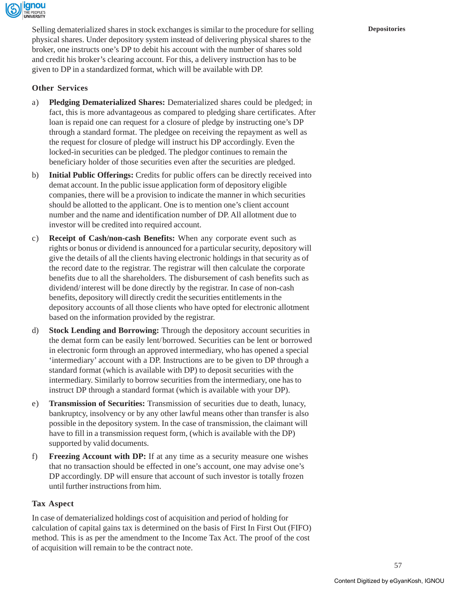

Selling dematerialized shares in stock exchanges is similar to the procedure for selling **Depositories** physical shares. Under depository system instead of delivering physical shares to the broker, one instructs one's DP to debit his account with the number of shares sold and credit his broker's clearing account. For this, a delivery instruction has to be given to DP in a standardized format, which will be available with DP.

#### **Other Services**

- a) **Pledging Dematerialized Shares:** Dematerialized shares could be pledged; in fact, this is more advantageous as compared to pledging share certificates. After loan is repaid one can request for a closure of pledge by instructing one's DP through a standard format. The pledgee on receiving the repayment as well as the request for closure of pledge will instruct his DP accordingly. Even the locked-in securities can be pledged. The pledgor continues to remain the beneficiary holder of those securities even after the securities are pledged.
- b) **Initial Public Offerings:** Credits for public offers can be directly received into demat account. In the public issue application form of depository eligible companies, there will be a provision to indicate the manner in which securities should be allotted to the applicant. One is to mention one's client account number and the name and identification number of DP. All allotment due to investor will be credited into required account.
- c) **Receipt of Cash/non-cash Benefits:** When any corporate event such as rights or bonus or dividend is announced for a particular security, depository will give the details of all the clients having electronic holdings in that security as of the record date to the registrar. The registrar will then calculate the corporate benefits due to all the shareholders. The disbursement of cash benefits such as dividend/ interest will be done directly by the registrar. In case of non-cash benefits, depository will directly credit the securities entitlements in the depository accounts of all those clients who have opted for electronic allotment based on the information provided by the registrar.
- d) **Stock Lending and Borrowing:** Through the depository account securities in the demat form can be easily lent/ borrowed. Securities can be lent or borrowed in electronic form through an approved intermediary, who has opened a special 'intermediary' account with a DP. Instructions are to be given to DP through a standard format (which is available with DP) to deposit securities with the intermediary. Similarly to borrow securities from the intermediary, one has to instruct DP through a standard format (which is available with your DP).
- e) **Transmission of Securities:** Transmission of securities due to death, lunacy, bankruptcy, insolvency or by any other lawful means other than transfer is also possible in the depository system. In the case of transmission, the claimant will have to fill in a transmission request form, (which is available with the DP) supported by valid documents.
- f) **Freezing Account with DP:** If at any time as a security measure one wishes that no transaction should be effected in one's account, one may advise one's DP accordingly. DP will ensure that account of such investor is totally frozen until further instructions from him.

#### **Tax Aspect**

In case of dematerialized holdings cost of acquisition and period of holding for calculation of capital gains tax is determined on the basis of First In First Out (FIFO) method. This is as per the amendment to the Income Tax Act. The proof of the cost of acquisition will remain to be the contract note.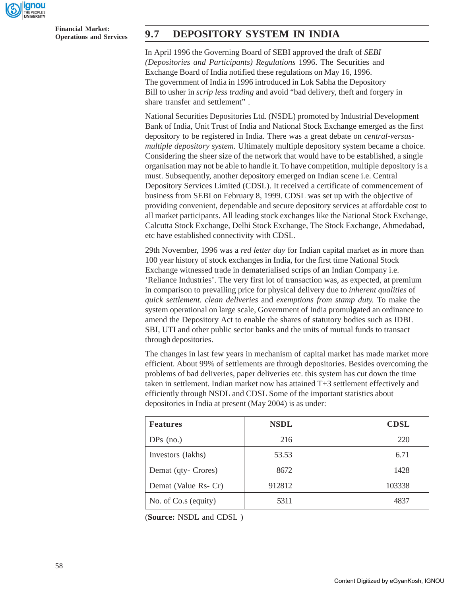

**Financial Market:**

## **Operations and Services 9.7 DEPOSITORY SYSTEM IN INDIA**

In April 1996 the Governing Board of SEBI approved the draft of *SEBI (Depositories and Participants) Regulations* 1996. The Securities and Exchange Board of India notified these regulations on May 16, 1996. The government of India in 1996 introduced in Lok Sabha the Depository Bill to usher in *scrip less trading* and avoid "bad delivery, theft and forgery in share transfer and settlement" .

National Securities Depositories Ltd. (NSDL) promoted by Industrial Development Bank of India, Unit Trust of India and National Stock Exchange emerged as the first depository to be registered in India. There was a great debate on *central-versusmultiple depository system.* Ultimately multiple depository system became a choice. Considering the sheer size of the network that would have to be established, a single organisation may not be able to handle it. To have competition, multiple depository is a must. Subsequently, another depository emerged on Indian scene i.e. Central Depository Services Limited (CDSL). It received a certificate of commencement of business from SEBI on February 8, 1999. CDSL was set up with the objective of providing convenient, dependable and secure depository services at affordable cost to all market participants. All leading stock exchanges like the National Stock Exchange, Calcutta Stock Exchange, Delhi Stock Exchange, The Stock Exchange, Ahmedabad, etc have established connectivity with CDSL.

29th November, 1996 was a *red letter day* for Indian capital market as in rnore than 100 year history of stock exchanges in India, for the first time National Stock Exchange witnessed trade in dematerialised scrips of an Indian Company i.e. 'Reliance Industries'. The very first lot of transaction was, as expected, at premium in comparison to prevailing price for physical delivery due to *inherent qualities* of *quick settlement. clean deliveries* and *exemptions from stamp duty.* To make the system operational on large scale, Government of India promulgated an ordinance to amend the Depository Act to enable the shares of statutory bodies such as IDBI. SBI, UTI and other public sector banks and the units of mutual funds to transact through depositories.

The changes in last few years in mechanism of capital market has made market more efficient. About 99% of settlements are through depositories. Besides overcoming the problems of bad deliveries, paper deliveries etc. this system has cut down the time taken in settlement. Indian market now has attained T+3 settlement effectively and efficiently through NSDL and CDSL Some of the important statistics about depositories in India at present (May 2004) is as under:

| <b>Features</b>      | <b>NSDL</b> | <b>CDSL</b> |
|----------------------|-------------|-------------|
| $DPs$ (no.)          | 216         | 220         |
| Investors (Iakhs)    | 53.53       | 6.71        |
| Demat (qty- Crores)  | 8672        | 1428        |
| Demat (Value Rs- Cr) | 912812      | 103338      |
| No. of Co.s (equity) | 5311        | 4837        |

(**Source:** NSDL and CDSL )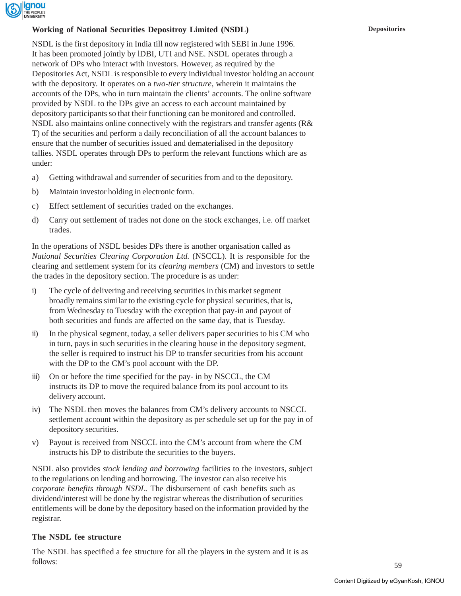

#### **Working of National Securities Depositroy Limited (NSDL) Depositories**

NSDL is the first depository in India till now registered with SEBI in June 1996. It has been promoted jointly by lDBI, UTI and NSE. NSDL operates through a network of DPs who interact with investors. However, as required by the Depositories Act, NSDL is responsible to every individual investor holding an account with the depository. It operates on a *two-tier structure,* wherein it maintains the accounts of the DPs, who in turn maintain the clients' accounts. The online software provided by NSDL to the DPs give an access to each account maintained by depository participants so that their functioning can be monitored and controlled. NSDL also maintains online connectively with the registrars and transfer agents (R& T) of the securities and perform a daily reconciliation of all the account balances to ensure that the number of securities issued and dematerialised in the depository tallies. NSDL operates through DPs to perform the relevant functions which are as under:

- a) Getting withdrawal and surrender of securities from and to the depository.
- b) Maintain investor holding in electronic form.
- c) Effect settlement of securities traded on the exchanges.
- d) Carry out settlement of trades not done on the stock exchanges, i.e. off market trades.

In the operations of NSDL besides DPs there is another organisation called as *National Securities Clearing Corporation Ltd.* (NSCCL). It is responsible for the clearing and settlement system for its *clearing members* (CM) and investors to settle the trades in the depository section. The procedure is as under:

- i) The cycle of delivering and receiving securities in this market segment broadly remains similar to the existing cycle for physical securities, that is, from Wednesday to Tuesday with the exception that pay-in and payout of both securities and funds are affected on the same day, that is Tuesday.
- ii) In the physical segment, today, a seller delivers paper securities to his CM who in turn, pays in such securities in the clearing house in the depository segment, the seller is required to instruct his DP to transfer securities from his account with the DP to the CM's pool account with the DP.
- iii) On or before the time specified for the pay- in by NSCCL, the CM instructs its DP to move the required balance from its pool account to its delivery account.
- iv) The NSDL then moves the balances from CM's delivery accounts to NSCCL settlement account within the depository as per schedule set up for the pay in of depository securities.
- v) Payout is received from NSCCL into the CM's account from where the CM instructs his DP to distribute the securities to the buyers.

NSDL also provides *stock lending and borrowing* facilities to the investors, subject to the regulations on lending and borrowing. The investor can also receive his *corporate benefits through NSDL.* The disbursement of cash benefits such as dividend/interest will be done by the registrar whereas the distribution of securities entitlements will be done by the depository based on the information provided by the registrar.

#### **The NSDL fee structure**

The NSDL has specified a fee structure for all the players in the system and it is as follows: